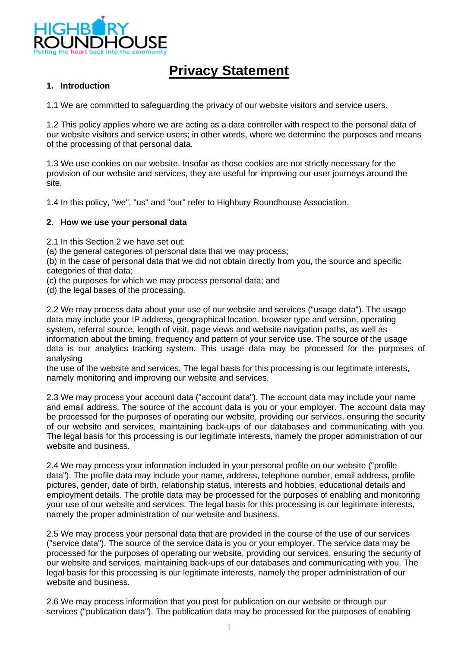

# **Privacy Statement**

## **1. Introduction**

1.1 We are committed to safeguarding the privacy of our website visitors and service users.

1.2 This policy applies where we are acting as a data controller with respect to the personal data of our website visitors and service users; in other words, where we determine the purposes and means of the processing of that personal data.

1.3 We use cookies on our website. Insofar as those cookies are not strictly necessary for the provision of our website and services, they are useful for improving our user journeys around the site.

1.4 In this policy, "we", "us" and "our" refer to Highbury Roundhouse Association.

#### **2. How we use your personal data**

2.1 In this Section 2 we have set out:

(a) the general categories of personal data that we may process;

(b) in the case of personal data that we did not obtain directly from you, the source and specific categories of that data;

(c) the purposes for which we may process personal data; and

(d) the legal bases of the processing.

2.2 We may process data about your use of our website and services ("usage data"). The usage data may include your IP address, geographical location, browser type and version, operating system, referral source, length of visit, page views and website navigation paths, as well as information about the timing, frequency and pattern of your service use. The source of the usage data is our analytics tracking system. This usage data may be processed for the purposes of analysing

the use of the website and services. The legal basis for this processing is our legitimate interests, namely monitoring and improving our website and services.

2.3 We may process your account data ("account data"). The account data may include your name and email address. The source of the account data is you or your employer. The account data may be processed for the purposes of operating our website, providing our services, ensuring the security of our website and services, maintaining back-ups of our databases and communicating with you. The legal basis for this processing is our legitimate interests, namely the proper administration of our website and business.

2.4 We may process your information included in your personal profile on our website ("profile data"). The profile data may include your name, address, telephone number, email address, profile pictures, gender, date of birth, relationship status, interests and hobbies, educational details and employment details. The profile data may be processed for the purposes of enabling and monitoring your use of our website and services. The legal basis for this processing is our legitimate interests, namely the proper administration of our website and business.

2.5 We may process your personal data that are provided in the course of the use of our services ("service data"). The source of the service data is you or your employer. The service data may be processed for the purposes of operating our website, providing our services, ensuring the security of our website and services, maintaining back-ups of our databases and communicating with you. The legal basis for this processing is our legitimate interests, namely the proper administration of our website and business.

2.6 We may process information that you post for publication on our website or through our services ("publication data"). The publication data may be processed for the purposes of enabling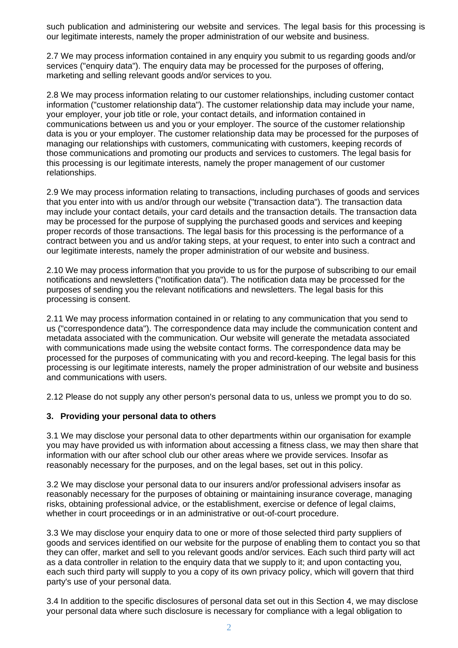such publication and administering our website and services. The legal basis for this processing is our legitimate interests, namely the proper administration of our website and business.

2.7 We may process information contained in any enquiry you submit to us regarding goods and/or services ("enquiry data"). The enquiry data may be processed for the purposes of offering, marketing and selling relevant goods and/or services to you.

2.8 We may process information relating to our customer relationships, including customer contact information ("customer relationship data"). The customer relationship data may include your name, your employer, your job title or role, your contact details, and information contained in communications between us and you or your employer. The source of the customer relationship data is you or your employer. The customer relationship data may be processed for the purposes of managing our relationships with customers, communicating with customers, keeping records of those communications and promoting our products and services to customers. The legal basis for this processing is our legitimate interests, namely the proper management of our customer relationships.

2.9 We may process information relating to transactions, including purchases of goods and services that you enter into with us and/or through our website ("transaction data"). The transaction data may include your contact details, your card details and the transaction details. The transaction data may be processed for the purpose of supplying the purchased goods and services and keeping proper records of those transactions. The legal basis for this processing is the performance of a contract between you and us and/or taking steps, at your request, to enter into such a contract and our legitimate interests, namely the proper administration of our website and business.

2.10 We may process information that you provide to us for the purpose of subscribing to our email notifications and newsletters ("notification data"). The notification data may be processed for the purposes of sending you the relevant notifications and newsletters. The legal basis for this processing is consent.

2.11 We may process information contained in or relating to any communication that you send to us ("correspondence data"). The correspondence data may include the communication content and metadata associated with the communication. Our website will generate the metadata associated with communications made using the website contact forms. The correspondence data may be processed for the purposes of communicating with you and record-keeping. The legal basis for this processing is our legitimate interests, namely the proper administration of our website and business and communications with users.

2.12 Please do not supply any other person's personal data to us, unless we prompt you to do so.

## **3. Providing your personal data to others**

3.1 We may disclose your personal data to other departments within our organisation for example you may have provided us with information about accessing a fitness class, we may then share that information with our after school club our other areas where we provide services. Insofar as reasonably necessary for the purposes, and on the legal bases, set out in this policy.

3.2 We may disclose your personal data to our insurers and/or professional advisers insofar as reasonably necessary for the purposes of obtaining or maintaining insurance coverage, managing risks, obtaining professional advice, or the establishment, exercise or defence of legal claims, whether in court proceedings or in an administrative or out-of-court procedure.

3.3 We may disclose your enquiry data to one or more of those selected third party suppliers of goods and services identified on our website for the purpose of enabling them to contact you so that they can offer, market and sell to you relevant goods and/or services. Each such third party will act as a data controller in relation to the enquiry data that we supply to it; and upon contacting you, each such third party will supply to you a copy of its own privacy policy, which will govern that third party's use of your personal data.

3.4 In addition to the specific disclosures of personal data set out in this Section 4, we may disclose your personal data where such disclosure is necessary for compliance with a legal obligation to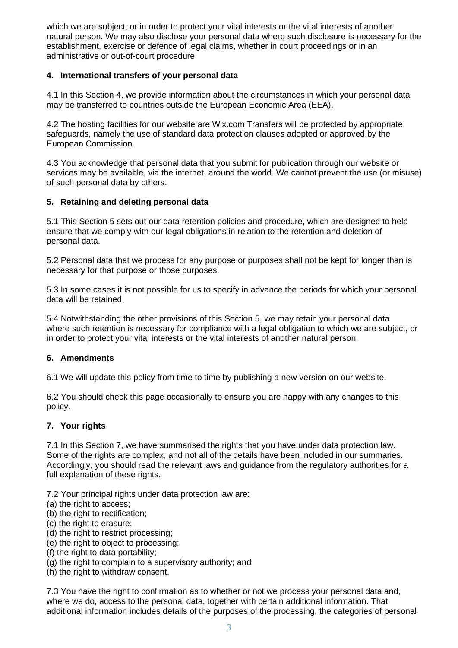which we are subject, or in order to protect your vital interests or the vital interests of another natural person. We may also disclose your personal data where such disclosure is necessary for the establishment, exercise or defence of legal claims, whether in court proceedings or in an administrative or out-of-court procedure.

# **4. International transfers of your personal data**

4.1 In this Section 4, we provide information about the circumstances in which your personal data may be transferred to countries outside the European Economic Area (EEA).

4.2 The hosting facilities for our website are Wix.com Transfers will be protected by appropriate safeguards, namely the use of standard data protection clauses adopted or approved by the European Commission.

4.3 You acknowledge that personal data that you submit for publication through our website or services may be available, via the internet, around the world. We cannot prevent the use (or misuse) of such personal data by others.

## **5. Retaining and deleting personal data**

5.1 This Section 5 sets out our data retention policies and procedure, which are designed to help ensure that we comply with our legal obligations in relation to the retention and deletion of personal data.

5.2 Personal data that we process for any purpose or purposes shall not be kept for longer than is necessary for that purpose or those purposes.

5.3 In some cases it is not possible for us to specify in advance the periods for which your personal data will be retained.

5.4 Notwithstanding the other provisions of this Section 5, we may retain your personal data where such retention is necessary for compliance with a legal obligation to which we are subject, or in order to protect your vital interests or the vital interests of another natural person.

## **6. Amendments**

6.1 We will update this policy from time to time by publishing a new version on our website.

6.2 You should check this page occasionally to ensure you are happy with any changes to this policy.

## **7. Your rights**

7.1 In this Section 7, we have summarised the rights that you have under data protection law. Some of the rights are complex, and not all of the details have been included in our summaries. Accordingly, you should read the relevant laws and guidance from the regulatory authorities for a full explanation of these rights.

7.2 Your principal rights under data protection law are:

- (a) the right to access;
- (b) the right to rectification;
- (c) the right to erasure;
- (d) the right to restrict processing;
- (e) the right to object to processing;
- (f) the right to data portability;
- (g) the right to complain to a supervisory authority; and
- (h) the right to withdraw consent.

7.3 You have the right to confirmation as to whether or not we process your personal data and, where we do, access to the personal data, together with certain additional information. That additional information includes details of the purposes of the processing, the categories of personal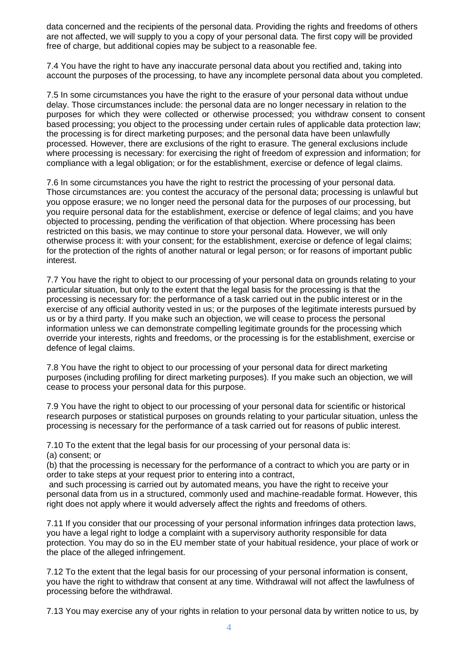data concerned and the recipients of the personal data. Providing the rights and freedoms of others are not affected, we will supply to you a copy of your personal data. The first copy will be provided free of charge, but additional copies may be subject to a reasonable fee.

7.4 You have the right to have any inaccurate personal data about you rectified and, taking into account the purposes of the processing, to have any incomplete personal data about you completed.

7.5 In some circumstances you have the right to the erasure of your personal data without undue delay. Those circumstances include: the personal data are no longer necessary in relation to the purposes for which they were collected or otherwise processed; you withdraw consent to consent based processing; you object to the processing under certain rules of applicable data protection law; the processing is for direct marketing purposes; and the personal data have been unlawfully processed. However, there are exclusions of the right to erasure. The general exclusions include where processing is necessary: for exercising the right of freedom of expression and information; for compliance with a legal obligation; or for the establishment, exercise or defence of legal claims.

7.6 In some circumstances you have the right to restrict the processing of your personal data. Those circumstances are: you contest the accuracy of the personal data; processing is unlawful but you oppose erasure; we no longer need the personal data for the purposes of our processing, but you require personal data for the establishment, exercise or defence of legal claims; and you have objected to processing, pending the verification of that objection. Where processing has been restricted on this basis, we may continue to store your personal data. However, we will only otherwise process it: with your consent; for the establishment, exercise or defence of legal claims; for the protection of the rights of another natural or legal person; or for reasons of important public interest.

7.7 You have the right to object to our processing of your personal data on grounds relating to your particular situation, but only to the extent that the legal basis for the processing is that the processing is necessary for: the performance of a task carried out in the public interest or in the exercise of any official authority vested in us; or the purposes of the legitimate interests pursued by us or by a third party. If you make such an objection, we will cease to process the personal information unless we can demonstrate compelling legitimate grounds for the processing which override your interests, rights and freedoms, or the processing is for the establishment, exercise or defence of legal claims.

7.8 You have the right to object to our processing of your personal data for direct marketing purposes (including profiling for direct marketing purposes). If you make such an objection, we will cease to process your personal data for this purpose.

7.9 You have the right to object to our processing of your personal data for scientific or historical research purposes or statistical purposes on grounds relating to your particular situation, unless the processing is necessary for the performance of a task carried out for reasons of public interest.

7.10 To the extent that the legal basis for our processing of your personal data is: (a) consent; or

(b) that the processing is necessary for the performance of a contract to which you are party or in order to take steps at your request prior to entering into a contract,

and such processing is carried out by automated means, you have the right to receive your personal data from us in a structured, commonly used and machine-readable format. However, this right does not apply where it would adversely affect the rights and freedoms of others.

7.11 If you consider that our processing of your personal information infringes data protection laws, you have a legal right to lodge a complaint with a supervisory authority responsible for data protection. You may do so in the EU member state of your habitual residence, your place of work or the place of the alleged infringement.

7.12 To the extent that the legal basis for our processing of your personal information is consent, you have the right to withdraw that consent at any time. Withdrawal will not affect the lawfulness of processing before the withdrawal.

7.13 You may exercise any of your rights in relation to your personal data by written notice to us, by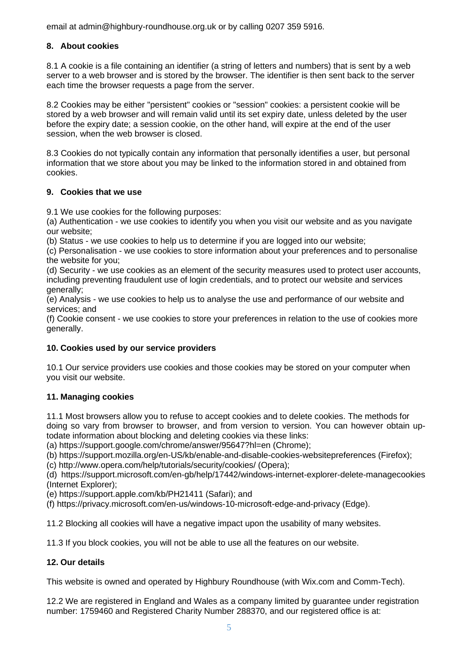email at admin@highbury-roundhouse.org.uk or by calling 0207 359 5916.

# **8. About cookies**

8.1 A cookie is a file containing an identifier (a string of letters and numbers) that is sent by a web server to a web browser and is stored by the browser. The identifier is then sent back to the server each time the browser requests a page from the server.

8.2 Cookies may be either "persistent" cookies or "session" cookies: a persistent cookie will be stored by a web browser and will remain valid until its set expiry date, unless deleted by the user before the expiry date; a session cookie, on the other hand, will expire at the end of the user session, when the web browser is closed.

8.3 Cookies do not typically contain any information that personally identifies a user, but personal information that we store about you may be linked to the information stored in and obtained from cookies.

#### **9. Cookies that we use**

9.1 We use cookies for the following purposes:

(a) Authentication - we use cookies to identify you when you visit our website and as you navigate our website;

(b) Status - we use cookies to help us to determine if you are logged into our website;

(c) Personalisation - we use cookies to store information about your preferences and to personalise the website for you;

(d) Security - we use cookies as an element of the security measures used to protect user accounts, including preventing fraudulent use of login credentials, and to protect our website and services generally;

(e) Analysis - we use cookies to help us to analyse the use and performance of our website and services; and

(f) Cookie consent - we use cookies to store your preferences in relation to the use of cookies more generally.

## **10. Cookies used by our service providers**

10.1 Our service providers use cookies and those cookies may be stored on your computer when you visit our website.

## **11. Managing cookies**

11.1 Most browsers allow you to refuse to accept cookies and to delete cookies. The methods for doing so vary from browser to browser, and from version to version. You can however obtain uptodate information about blocking and deleting cookies via these links:

(a) https://support.google.com/chrome/answer/95647?hl=en (Chrome);

(b) https://support.mozilla.org/en-US/kb/enable-and-disable-cookies-websitepreferences (Firefox);

(c) http://www.opera.com/help/tutorials/security/cookies/ (Opera);

(d) https://support.microsoft.com/en-gb/help/17442/windows-internet-explorer-delete-managecookies (Internet Explorer);

(e) https://support.apple.com/kb/PH21411 (Safari); and

(f) https://privacy.microsoft.com/en-us/windows-10-microsoft-edge-and-privacy (Edge).

11.2 Blocking all cookies will have a negative impact upon the usability of many websites.

11.3 If you block cookies, you will not be able to use all the features on our website.

## **12. Our details**

This website is owned and operated by Highbury Roundhouse (with Wix.com and Comm-Tech).

12.2 We are registered in England and Wales as a company limited by guarantee under registration number: 1759460 and Registered Charity Number 288370, and our registered office is at: